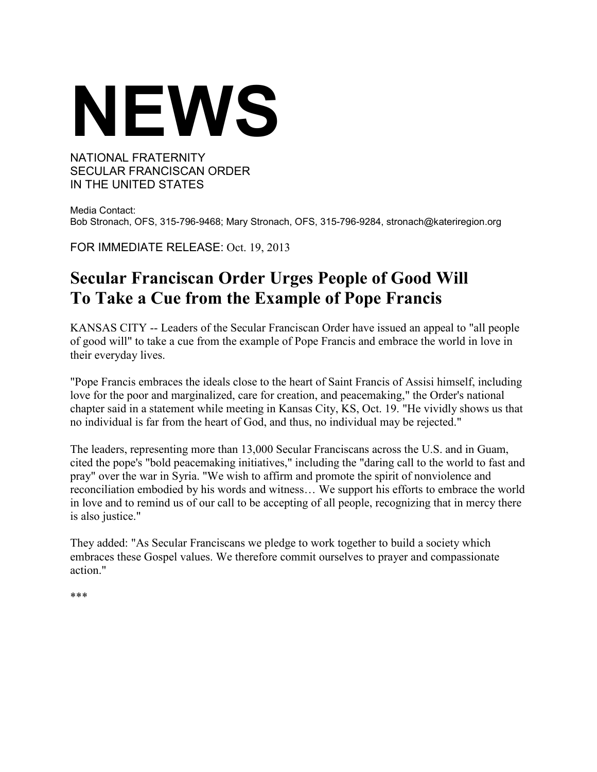# **NEWS**

# NATIONAL FRATERNITY SECULAR FRANCISCAN ORDER IN THE UNITED STATES

Media Contact: Bob Stronach, OFS, 315-796-9468; Mary Stronach, OFS, 315-796-9284, stronach@kateriregion.org

FOR IMMEDIATE RELEASE: Oct. 19, 2013

# **Secular Franciscan Order Urges People of Good Will To Take a Cue from the Example of Pope Francis**

KANSAS CITY -- Leaders of the Secular Franciscan Order have issued an appeal to "all people of good will" to take a cue from the example of Pope Francis and embrace the world in love in their everyday lives.

"Pope Francis embraces the ideals close to the heart of Saint Francis of Assisi himself, including love for the poor and marginalized, care for creation, and peacemaking," the Order's national chapter said in a statement while meeting in Kansas City, KS, Oct. 19. "He vividly shows us that no individual is far from the heart of God, and thus, no individual may be rejected."

The leaders, representing more than 13,000 Secular Franciscans across the U.S. and in Guam, cited the pope's "bold peacemaking initiatives," including the "daring call to the world to fast and pray" over the war in Syria. "We wish to affirm and promote the spirit of nonviolence and reconciliation embodied by his words and witness… We support his efforts to embrace the world in love and to remind us of our call to be accepting of all people, recognizing that in mercy there is also justice."

They added: "As Secular Franciscans we pledge to work together to build a society which embraces these Gospel values. We therefore commit ourselves to prayer and compassionate action."

\*\*\*